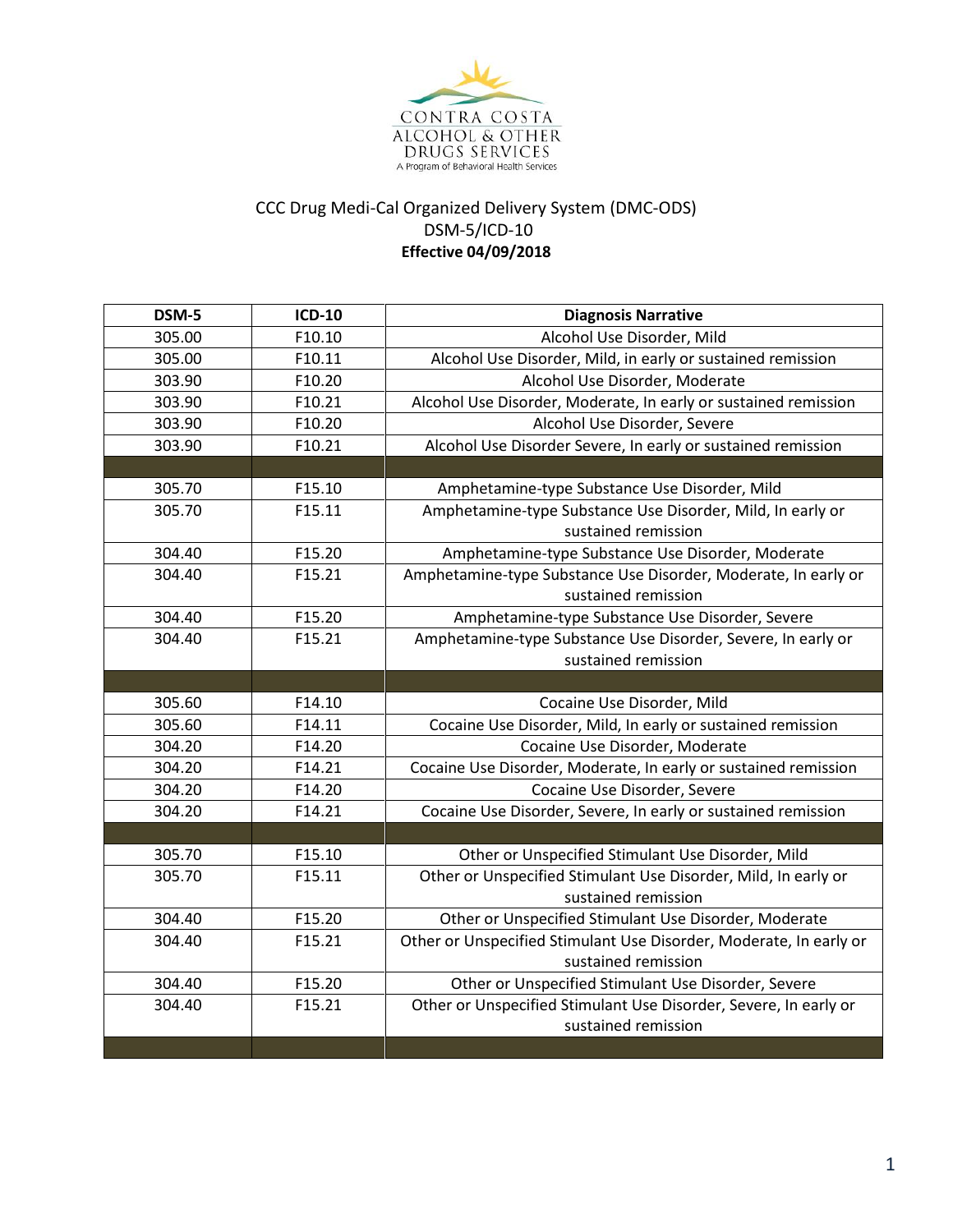

## CCC Drug Medi-Cal Organized Delivery System (DMC-ODS) DSM-5/ICD-10 **Effective 04/09/2018**

| DSM-5  | <b>ICD-10</b> | <b>Diagnosis Narrative</b>                                                            |
|--------|---------------|---------------------------------------------------------------------------------------|
| 305.00 | F10.10        | Alcohol Use Disorder, Mild                                                            |
| 305.00 | F10.11        | Alcohol Use Disorder, Mild, in early or sustained remission                           |
| 303.90 | F10.20        | Alcohol Use Disorder, Moderate                                                        |
| 303.90 | F10.21        | Alcohol Use Disorder, Moderate, In early or sustained remission                       |
| 303.90 | F10.20        | Alcohol Use Disorder, Severe                                                          |
| 303.90 | F10.21        | Alcohol Use Disorder Severe, In early or sustained remission                          |
|        |               |                                                                                       |
| 305.70 | F15.10        | Amphetamine-type Substance Use Disorder, Mild                                         |
| 305.70 | F15.11        | Amphetamine-type Substance Use Disorder, Mild, In early or                            |
|        |               | sustained remission                                                                   |
| 304.40 | F15.20        | Amphetamine-type Substance Use Disorder, Moderate                                     |
| 304.40 | F15.21        | Amphetamine-type Substance Use Disorder, Moderate, In early or<br>sustained remission |
| 304.40 | F15.20        | Amphetamine-type Substance Use Disorder, Severe                                       |
| 304.40 | F15.21        | Amphetamine-type Substance Use Disorder, Severe, In early or                          |
|        |               | sustained remission                                                                   |
|        |               |                                                                                       |
| 305.60 | F14.10        | Cocaine Use Disorder, Mild                                                            |
| 305.60 | F14.11        | Cocaine Use Disorder, Mild, In early or sustained remission                           |
| 304.20 | F14.20        | Cocaine Use Disorder, Moderate                                                        |
| 304.20 | F14.21        | Cocaine Use Disorder, Moderate, In early or sustained remission                       |
| 304.20 | F14.20        | Cocaine Use Disorder, Severe                                                          |
| 304.20 | F14.21        | Cocaine Use Disorder, Severe, In early or sustained remission                         |
|        |               |                                                                                       |
| 305.70 | F15.10        | Other or Unspecified Stimulant Use Disorder, Mild                                     |
| 305.70 | F15.11        | Other or Unspecified Stimulant Use Disorder, Mild, In early or                        |
|        |               | sustained remission                                                                   |
| 304.40 | F15.20        | Other or Unspecified Stimulant Use Disorder, Moderate                                 |
| 304.40 | F15.21        | Other or Unspecified Stimulant Use Disorder, Moderate, In early or                    |
|        |               | sustained remission                                                                   |
| 304.40 | F15.20        | Other or Unspecified Stimulant Use Disorder, Severe                                   |
| 304.40 | F15.21        | Other or Unspecified Stimulant Use Disorder, Severe, In early or                      |
|        |               | sustained remission                                                                   |
|        |               |                                                                                       |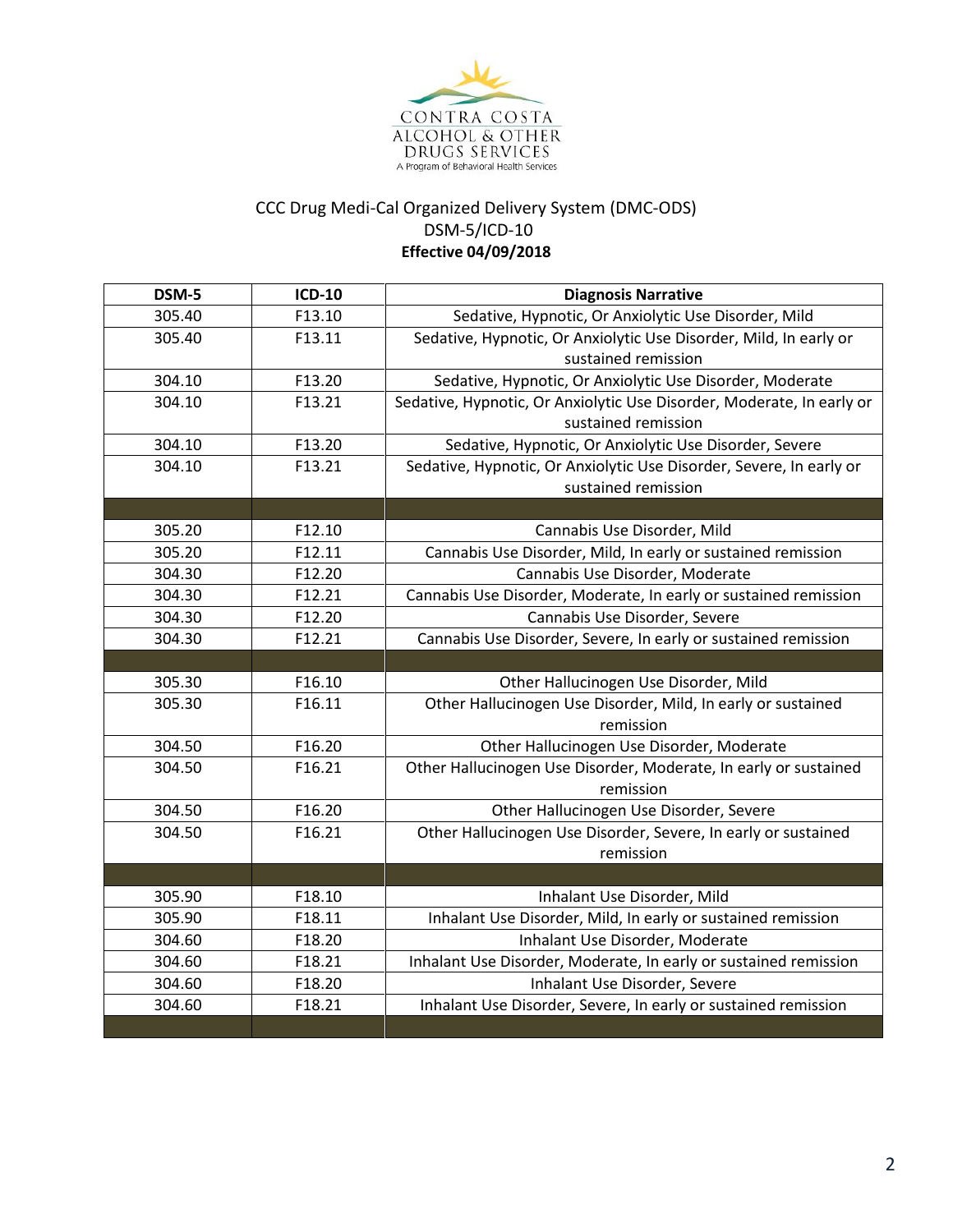

## CCC Drug Medi-Cal Organized Delivery System (DMC-ODS) DSM-5/ICD-10 **Effective 04/09/2018**

| DSM-5  | <b>ICD-10</b> | <b>Diagnosis Narrative</b>                                            |
|--------|---------------|-----------------------------------------------------------------------|
| 305.40 | F13.10        | Sedative, Hypnotic, Or Anxiolytic Use Disorder, Mild                  |
| 305.40 | F13.11        | Sedative, Hypnotic, Or Anxiolytic Use Disorder, Mild, In early or     |
|        |               | sustained remission                                                   |
| 304.10 | F13.20        | Sedative, Hypnotic, Or Anxiolytic Use Disorder, Moderate              |
| 304.10 | F13.21        | Sedative, Hypnotic, Or Anxiolytic Use Disorder, Moderate, In early or |
|        |               | sustained remission                                                   |
| 304.10 | F13.20        | Sedative, Hypnotic, Or Anxiolytic Use Disorder, Severe                |
| 304.10 | F13.21        | Sedative, Hypnotic, Or Anxiolytic Use Disorder, Severe, In early or   |
|        |               | sustained remission                                                   |
|        |               |                                                                       |
| 305.20 | F12.10        | Cannabis Use Disorder, Mild                                           |
| 305.20 | F12.11        | Cannabis Use Disorder, Mild, In early or sustained remission          |
| 304.30 | F12.20        | Cannabis Use Disorder, Moderate                                       |
| 304.30 | F12.21        | Cannabis Use Disorder, Moderate, In early or sustained remission      |
| 304.30 | F12.20        | Cannabis Use Disorder, Severe                                         |
| 304.30 | F12.21        | Cannabis Use Disorder, Severe, In early or sustained remission        |
|        |               |                                                                       |
| 305.30 | F16.10        | Other Hallucinogen Use Disorder, Mild                                 |
| 305.30 | F16.11        | Other Hallucinogen Use Disorder, Mild, In early or sustained          |
|        |               | remission                                                             |
| 304.50 | F16.20        | Other Hallucinogen Use Disorder, Moderate                             |
| 304.50 | F16.21        | Other Hallucinogen Use Disorder, Moderate, In early or sustained      |
|        |               | remission                                                             |
| 304.50 | F16.20        | Other Hallucinogen Use Disorder, Severe                               |
| 304.50 | F16.21        | Other Hallucinogen Use Disorder, Severe, In early or sustained        |
|        |               | remission                                                             |
|        |               |                                                                       |
| 305.90 | F18.10        | Inhalant Use Disorder, Mild                                           |
| 305.90 | F18.11        | Inhalant Use Disorder, Mild, In early or sustained remission          |
| 304.60 | F18.20        | Inhalant Use Disorder, Moderate                                       |
| 304.60 | F18.21        | Inhalant Use Disorder, Moderate, In early or sustained remission      |
| 304.60 | F18.20        | Inhalant Use Disorder, Severe                                         |
| 304.60 | F18.21        | Inhalant Use Disorder, Severe, In early or sustained remission        |
|        |               |                                                                       |